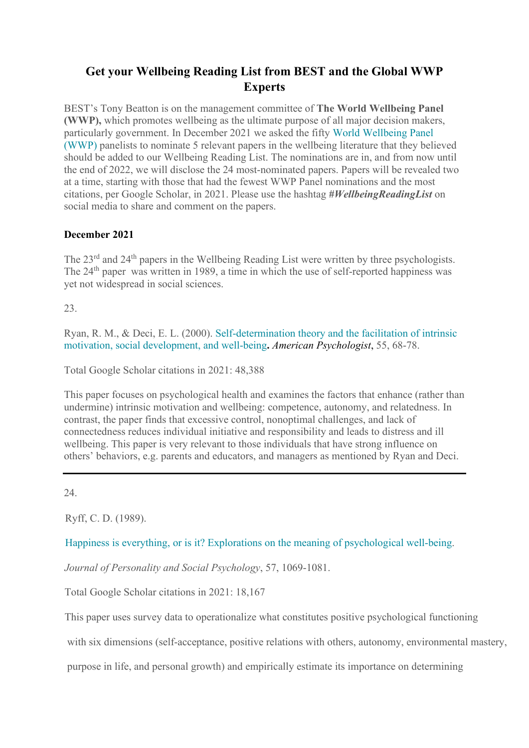## **Get your Wellbeing Reading List from BEST and the Global WWP Experts**

BEST's Tony Beatton is on the management committee of **The World Wellbeing Panel (WWP),** which promotes wellbeing as the ultimate purpose of all major decision makers, particularly government. In December 2021 we asked the fifty [World Wellbeing Panel](https://bse.eu/research/world-wellbeing-panel)  [\(WWP\)](https://bse.eu/research/world-wellbeing-panel) panelists to nominate 5 relevant papers in the wellbeing literature that they believed should be added to our Wellbeing Reading List. The nominations are in, and from now until the end of 2022, we will disclose the 24 most-nominated papers. Papers will be revealed two at a time, starting with those that had the fewest WWP Panel nominations and the most citations, per Google Scholar, in 2021. Please use the hashtag *#WellbeingReadingList* on social media to share and comment on the papers.

## **December 2021**

The 23<sup>rd</sup> and 24<sup>th</sup> papers in the Wellbeing Reading List were written by three psychologists. The 24<sup>th</sup> paper was written in 1989, a time in which the use of self-reported happiness was yet not widespread in social sciences.

23.

Ryan, R. M., & Deci, E. L. (2000). [Self-determination theory and the facilitation of intrinsic](https://doi.org/10.1037/0003-066x.55.1.68)  [motivation, social development, and well-being](https://doi.org/10.1037/0003-066x.55.1.68)**.** *American Psychologist*, 55, 68-78.

Total Google Scholar citations in 2021: 48,388

This paper focuses on psychological health and examines the factors that enhance (rather than undermine) intrinsic motivation and wellbeing: competence, autonomy, and relatedness. In contrast, the paper finds that excessive control, nonoptimal challenges, and lack of connectedness reduces individual initiative and responsibility and leads to distress and ill wellbeing. This paper is very relevant to those individuals that have strong influence on others' behaviors, e.g. parents and educators, and managers as mentioned by Ryan and Deci.

 $24.$ 

Ryff, C. D. (1989).

[Happiness is everything, or is it? Explorations on the meaning of psychological well-being.](https://doi.apa.org/doi/10.1037/0022-3514.57.6.1069)

*Journal of Personality and Social Psychology*, 57, 1069-1081.

Total Google Scholar citations in 2021: 18,167

This paper uses survey data to operationalize what constitutes positive psychological functioning

with six dimensions (self-acceptance, positive relations with others, autonomy, environmental mastery,

purpose in life, and personal growth) and empirically estimate its importance on determining